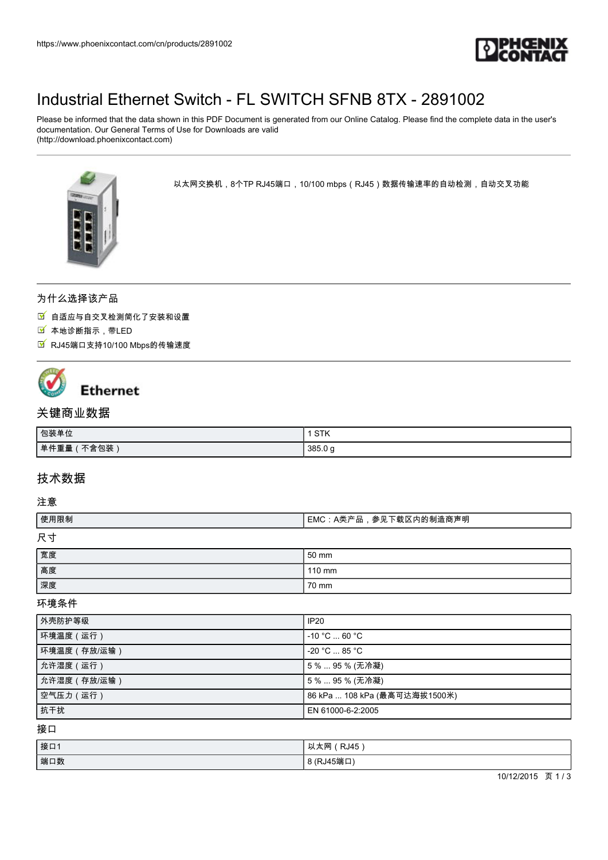

## [Industrial Ethernet Switch - FL SWITCH SFNB 8TX - 2891002](https://www.phoenixcontact.com/cn/products/2891002)

Please be informed that the data shown in this PDF Document is generated from our Online Catalog. Please find the complete data in the user's documentation. Our General Terms of Use for Downloads are valid (http://download.phoenixcontact.com)



以太网交换机,8个TP RJ45端口,10/100 mbps(RJ45)数据传输速率的自动检测,自动交叉功能

## 为什么选择该产品

自适应与自交叉检测简化了安装和设置

- 本地诊断指示,带LED
- RJ45端口支持10/100 Mbps的传输速度



# **Ethernet**

## 关键商业数据

| 包装单位          | <b>CTV</b><br>31N |
|---------------|-------------------|
| 下含包装,<br>单件重量 | 385.0 g           |

## 技术数据

#### 注意

| 使用限制 | ┃EMC:A类产品,参见下载区内的制造商声明 |
|------|------------------------|
| 尺寸   |                        |
| 宽度   | 50 mm                  |
| 高度   | $110 \text{ mm}$       |
| 深度   | 70 mm                  |

#### 环境条件

| 外壳防护等级      | IP <sub>20</sub>              |
|-------------|-------------------------------|
| 环境温度 (运行)   | $-10 °C  60 °C$               |
| 环境温度(存放/运输) | $-20$ °C $\ldots$ 85 °C $\,$  |
| 允许湿度 (运行)   | 5%  95 % (无冷凝)                |
| 允许湿度(存放/运输) | 5%  95 % (无冷凝)                |
| 空气压力 (运行)   | 86 kPa  108 kPa (最高可达海拔1500米) |
| 抗干扰         | EN 61000-6-2:2005             |

接口

| 接口1 | 以太网(RJ45   |
|-----|------------|
| 端口数 | 8 (RJ45端口) |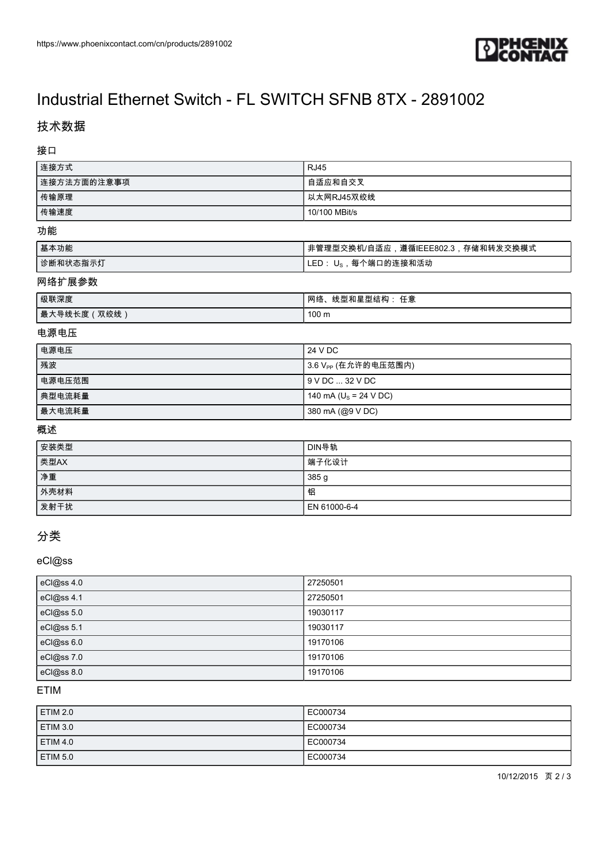

## [Industrial Ethernet Switch - FL SWITCH SFNB 8TX - 2891002](https://www.phoenixcontact.com/cn/products/2891002)

## 技术数据

接口

| 连接方式         | <b>RJ45</b>                       |
|--------------|-----------------------------------|
| 连接方法方面的注意事项  | 自适应和自交叉                           |
| 传输原理         | 以太网RJ45双绞线                        |
| 传输速度         | 10/100 MBit/s                     |
| 功能           |                                   |
| 基本功能         | 非管理型交换机/自适应,遵循IEEE802.3,存储和转发交换模式 |
| 诊断和状态指示灯     | LED: U <sub>S</sub> , 每个端口的连接和活动  |
| 网络扩展参数       |                                   |
| 级联深度         | 网络、线型和星型结构: 任意                    |
| 最大导线长度 (双绞线) | 100 <sub>m</sub>                  |

#### 电源电压

| 电源电压   | 24 V DC                          |
|--------|----------------------------------|
| 残波     | ┃3.6 V <sub>PP</sub> (在允许的电压范围内) |
| 电源电压范围 | I 9 V DC  32 V DC                |
| 典型电流耗量 | 140 mA ( $U_s$ = 24 V DC)        |
| 最大电流耗量 | 380 mA (@9 V DC)                 |

### 概述

| 安装类型 | DIN导轨            |
|------|------------------|
| 类型AX | 端子化设计            |
| 净重   | 385 <sub>g</sub> |
| 外壳材料 | 铝                |
| 发射干扰 | EN 61000-6-4     |

## 分类

### eCl@ss

| eCl@ss 4.0 | 27250501 |
|------------|----------|
| eCl@ss 4.1 | 27250501 |
| eCl@ss 5.0 | 19030117 |
| eCl@ss 5.1 | 19030117 |
| eCl@ss 6.0 | 19170106 |
| eCl@ss7.0  | 19170106 |
| eCl@ss 8.0 | 19170106 |

### ETIM

| <b>ETIM 2.0</b> | EC000734 |
|-----------------|----------|
| ETIM 3.0        | EC000734 |
| <b>ETIM 4.0</b> | EC000734 |
| ETIM 5.0        | EC000734 |